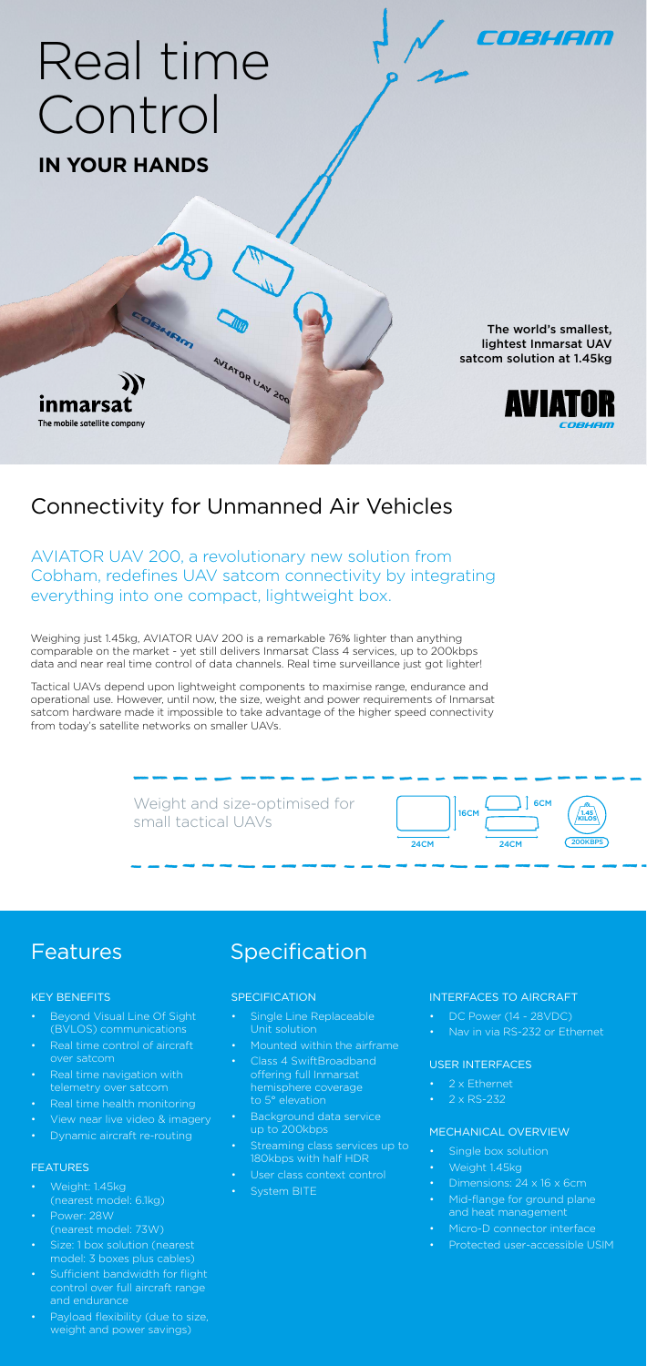The world's smallest, lightest Inmarsat UAV satcom solution at 1.45kg

EO BLIEDO



# Real time Control

**IN YOUR HANDS**

nmarsa The mobile satellite company

AVIATOR UAV 200, a revolutionary new solution from Cobham, redefines UAV satcom connectivity by integrating everything into one compact, lightweight box.

# Connectivity for Unmanned Air Vehicles

AVIATOR UAV 200

Weighing just 1.45kg, AVIATOR UAV 200 is a remarkable 76% lighter than anything comparable on the market - yet still delivers Inmarsat Class 4 services, up to 200kbps data and near real time control of data channels. Real time surveillance just got lighter!

Tactical UAVs depend upon lightweight components to maximise range, endurance and operational use. However, until now, the size, weight and power requirements of Inmarsat satcom hardware made it impossible to take advantage of the higher speed connectivity from today's satellite networks on smaller UAVs.



Features Specification

- DC Power (14 28VDC)
- Nav in via RS-232 or Ethernet

## KEY BENEFITS

- Single box solution
- Weight 1.45kg
- Dimensions: 24 x 16 x 6cm
- Mid-flange for ground plane and heat management
- Micro-D connector interface
- Protected user-accessible USIM
- Beyond Visual Line Of Sight (BVLOS) communications
- Real time control of aircraft over satcom
- Real time navigation with telemetry over satcom
- Real time health monitoring
- View near live video & imagery
- Dynamic aircraft re-routing

### FEATURES

- Weight: 1.45kg (nearest model: 6.1kg)
- Power: 28W (nearest model: 73W)
- Size: 1 box solution (nearest model: 3 boxes plus cables)
- Sufficient bandwidth for flight control over full aircraft range and endurance
- Payload flexibility (due to size, weight and power savings)

# **SPECIFICATION**

- Single Line Replaceable Unit solution
- Mounted within the airframe
- Class 4 SwiftBroadband offering full Inmarsat hemisphere coverage to 5° elevation
- Background data service up to 200kbps
- Streaming class services up to 180kbps with half HDR
- User class context control
- System BITE

#### INTERFACES TO AIRCRAFT

### USER INTERFACES

- 2 x Ethernet
- $2 \times$  RS-232

# MECHANICAL OVERVIEW